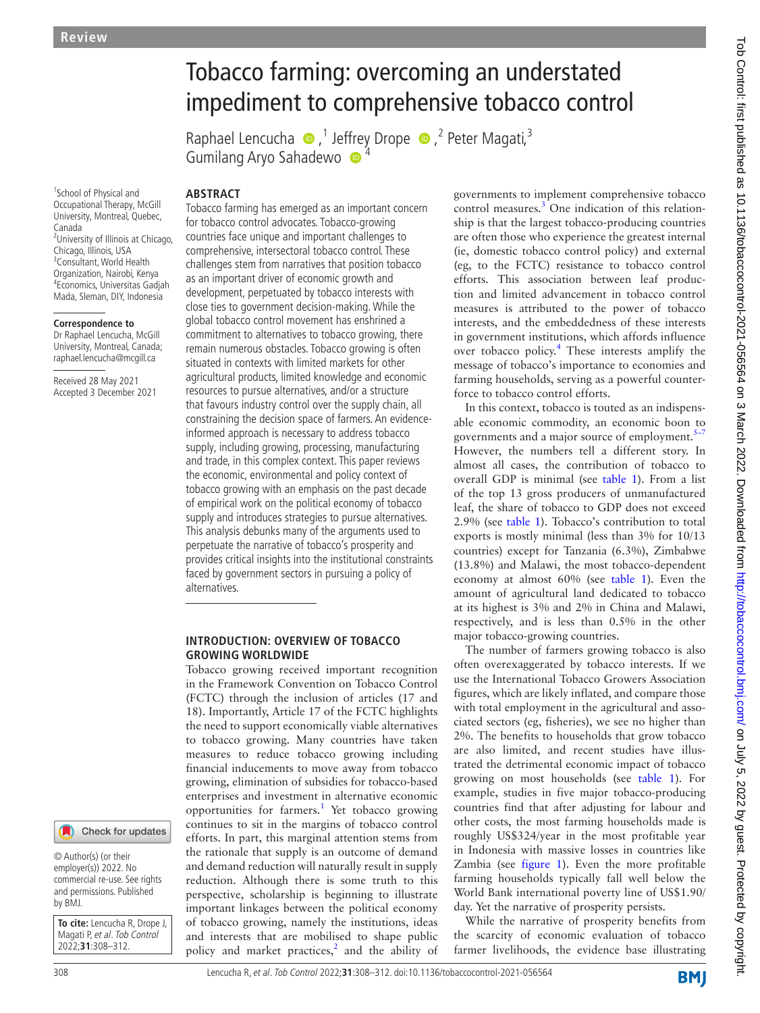# Tobacco farming: overcoming an understated impediment to comprehensive tobacco control

RaphaelLencucha  $\bullet$ ,<sup>1</sup> Jef[fre](http://orcid.org/0000-0002-0543-054X)y Drope  $\bullet$ ,<sup>2</sup> Peter Magati,<sup>3</sup> Gumilang Aryo Sahadewo <sup>6</sup>

<sup>1</sup>School of Physical and Occupational Therapy, McGill University, Montreal, Quebec, Canada <sup>2</sup>University of Illinois at Chicago, Chicago, Illinois, USA <sup>3</sup> Consultant, World Health Organization, Nairobi, Kenya 4 Economics, Universitas Gadjah Mada, Sleman, DIY, Indonesia

**ARSTRACT** 

#### **Correspondence to**

Dr Raphael Lencucha, McGill University, Montreal, Canada; raphael.lencucha@mcgill.ca

Received 28 May 2021 Accepted 3 December 2021



© Author(s) (or their employer(s)) 2022. No commercial re-use. See rights and permissions. Published by BMJ.

**To cite:** Lencucha R, Drope J, Magati P, et al. Tob Control 2022;**31**:308–312.

Tobacco farming has emerged as an important concern for tobacco control advocates. Tobacco-growing countries face unique and important challenges to comprehensive, intersectoral tobacco control. These challenges stem from narratives that position tobacco as an important driver of economic growth and development, perpetuated by tobacco interests with close ties to government decision-making. While the global tobacco control movement has enshrined a commitment to alternatives to tobacco growing, there remain numerous obstacles. Tobacco growing is often situated in contexts with limited markets for other agricultural products, limited knowledge and economic resources to pursue alternatives, and/or a structure that favours industry control over the supply chain, all constraining the decision space of farmers. An evidenceinformed approach is necessary to address tobacco supply, including growing, processing, manufacturing and trade, in this complex context. This paper reviews the economic, environmental and policy context of tobacco growing with an emphasis on the past decade of empirical work on the political economy of tobacco supply and introduces strategies to pursue alternatives. This analysis debunks many of the arguments used to perpetuate the narrative of tobacco's prosperity and provides critical insights into the institutional constraints faced by government sectors in pursuing a policy of alternatives.

# **INTRODUCTION: OVERVIEW OF TOBACCO GROWING WORLDWIDE**

Tobacco growing received important recognition in the Framework Convention on Tobacco Control (FCTC) through the inclusion of articles (17 and 18). Importantly, Article 17 of the FCTC highlights the need to support economically viable alternatives to tobacco growing. Many countries have taken measures to reduce tobacco growing including financial inducements to move away from tobacco growing, elimination of subsidies for tobacco-based enterprises and investment in alternative economic opportunities for farmers.<sup>[1](#page-4-0)</sup> Yet tobacco growing continues to sit in the margins of tobacco control efforts. In part, this marginal attention stems from the rationale that supply is an outcome of demand and demand reduction will naturally result in supply reduction. Although there is some truth to this perspective, scholarship is beginning to illustrate important linkages between the political economy of tobacco growing, namely the institutions, ideas and interests that are mobilised to shape public policy and market practices, $2$  and the ability of governments to implement comprehensive tobacco control measures.<sup>3</sup> One indication of this relationship is that the largest tobacco-producing countries are often those who experience the greatest internal (ie, domestic tobacco control policy) and external (eg, to the FCTC) resistance to tobacco control efforts. This association between leaf production and limited advancement in tobacco control measures is attributed to the power of tobacco interests, and the embeddedness of these interests in government institutions, which affords influence over tobacco policy.<sup>[4](#page-4-3)</sup> These interests amplify the message of tobacco's importance to economies and farming households, serving as a powerful counterforce to tobacco control efforts.

In this context, tobacco is touted as an indispensable economic commodity, an economic boon to governments and a major source of employment.<sup>5-7</sup> However, the numbers tell a different story. In almost all cases, the contribution of tobacco to overall GDP is minimal (see [table](#page-1-0) 1). From a list of the top 13 gross producers of unmanufactured leaf, the share of tobacco to GDP does not exceed 2.9% (see [table](#page-1-0) 1). Tobacco's contribution to total exports is mostly minimal (less than 3% for 10/13 countries) except for Tanzania (6.3%), Zimbabwe (13.8%) and Malawi, the most tobacco-dependent economy at almost 60% (see [table](#page-1-0) 1). Even the amount of agricultural land dedicated to tobacco at its highest is 3% and 2% in China and Malawi, respectively, and is less than 0.5% in the other major tobacco-growing countries.

The number of farmers growing tobacco is also often overexaggerated by tobacco interests. If we use the International Tobacco Growers Association figures, which are likely inflated, and compare those with total employment in the agricultural and associated sectors (eg, fisheries), we see no higher than 2%. The benefits to households that grow tobacco are also limited, and recent studies have illustrated the detrimental economic impact of tobacco growing on most households (see [table](#page-1-0) 1). For example, studies in five major tobacco-producing countries find that after adjusting for labour and other costs, the most farming households made is roughly US\$324/year in the most profitable year in Indonesia with massive losses in countries like Zambia (see [figure](#page-1-1) 1). Even the more profitable farming households typically fall well below the World Bank international poverty line of US\$1.90/ day. Yet the narrative of prosperity persists.

While the narrative of prosperity benefits from the scarcity of economic evaluation of tobacco farmer livelihoods, the evidence base illustrating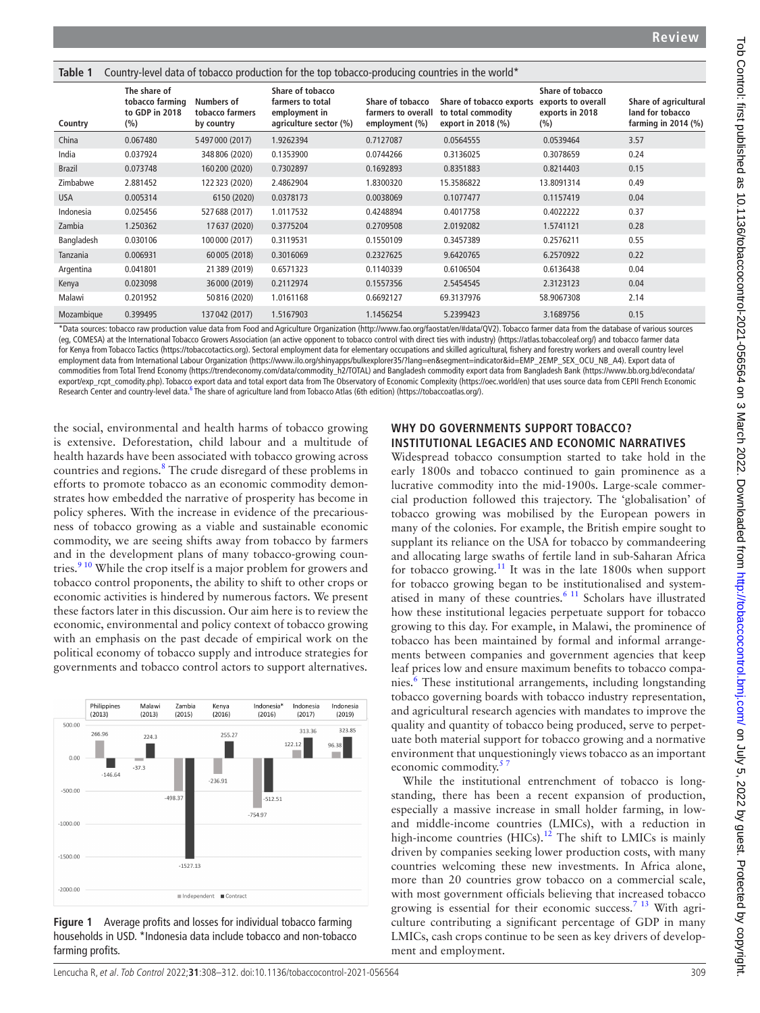<span id="page-1-0"></span>

|  |  |  | Table 1 Country-level data of tobacco production for the top tobacco-producing countries in the world* |
|--|--|--|--------------------------------------------------------------------------------------------------------|
|--|--|--|--------------------------------------------------------------------------------------------------------|

| Country       | The share of<br>tobacco farming<br>to GDP in 2018<br>(%) | Numbers of<br>tobacco farmers<br>by country | <b>Share of tobacco</b><br>farmers to total<br>employment in<br>agriculture sector (%) | <b>Share of tobacco</b><br>farmers to overall<br>employment (%) | Share of tobacco exports<br>to total commodity<br>export in 2018 (%) | Share of tobacco<br>exports to overall<br>exports in 2018<br>(%) | Share of agricultural<br>land for tobacco<br>farming in $2014$ (%) |
|---------------|----------------------------------------------------------|---------------------------------------------|----------------------------------------------------------------------------------------|-----------------------------------------------------------------|----------------------------------------------------------------------|------------------------------------------------------------------|--------------------------------------------------------------------|
| China         | 0.067480                                                 | 5497000 (2017)                              | 1.9262394                                                                              | 0.7127087                                                       | 0.0564555                                                            | 0.0539464                                                        | 3.57                                                               |
| India         | 0.037924                                                 | 348 806 (2020)                              | 0.1353900                                                                              | 0.0744266                                                       | 0.3136025                                                            | 0.3078659                                                        | 0.24                                                               |
| <b>Brazil</b> | 0.073748                                                 | 160200 (2020)                               | 0.7302897                                                                              | 0.1692893                                                       | 0.8351883                                                            | 0.8214403                                                        | 0.15                                                               |
| Zimbabwe      | 2.881452                                                 | 122323 (2020)                               | 2.4862904                                                                              | 1.8300320                                                       | 15.3586822                                                           | 13.8091314                                                       | 0.49                                                               |
| <b>USA</b>    | 0.005314                                                 | 6150 (2020)                                 | 0.0378173                                                                              | 0.0038069                                                       | 0.1077477                                                            | 0.1157419                                                        | 0.04                                                               |
| Indonesia     | 0.025456                                                 | 527688 (2017)                               | 1.0117532                                                                              | 0.4248894                                                       | 0.4017758                                                            | 0.4022222                                                        | 0.37                                                               |
| Zambia        | 1.250362                                                 | 17637 (2020)                                | 0.3775204                                                                              | 0.2709508                                                       | 2.0192082                                                            | 1.5741121                                                        | 0.28                                                               |
| Bangladesh    | 0.030106                                                 | 100000 (2017)                               | 0.3119531                                                                              | 0.1550109                                                       | 0.3457389                                                            | 0.2576211                                                        | 0.55                                                               |
| Tanzania      | 0.006931                                                 | 60005 (2018)                                | 0.3016069                                                                              | 0.2327625                                                       | 9.6420765                                                            | 6.2570922                                                        | 0.22                                                               |
| Argentina     | 0.041801                                                 | 21 389 (2019)                               | 0.6571323                                                                              | 0.1140339                                                       | 0.6106504                                                            | 0.6136438                                                        | 0.04                                                               |
| Kenya         | 0.023098                                                 | 36000 (2019)                                | 0.2112974                                                                              | 0.1557356                                                       | 2.5454545                                                            | 2.3123123                                                        | 0.04                                                               |
| Malawi        | 0.201952                                                 | 50816 (2020)                                | 1.0161168                                                                              | 0.6692127                                                       | 69.3137976                                                           | 58.9067308                                                       | 2.14                                                               |
| Mozambique    | 0.399495                                                 | 137042 (2017)                               | 1.5167903                                                                              | 1.1456254                                                       | 5.2399423                                                            | 3.1689756                                                        | 0.15                                                               |

\*Data sources: tobacco raw production value data from Food and Agriculture Organization (<http://www.fao.org/faostat/en/#data/QV2>). Tobacco farmer data from the database of various sources (eg, COMESA) at the International Tobacco Growers Association (an active opponent to tobacco control with direct ties with industry) [\(https://atlas.tobaccoleaf.org/\)](https://atlas.tobaccoleaf.org/) and tobacco farmer data for Kenya from Tobacco Tactics ([https://tobaccotactics.org\)](https://tobaccotactics.org3). Sectoral employment data for elementary occupations and skilled agricultural, fishery and forestry workers and overall country level employment data from International Labour Organization [\(https://www.ilo.org/shinyapps/bulkexplorer35/?lang=en&segment=indicator&id=EMP\\_2EMP\\_SEX\\_OCU\\_NB\\_A4](https://www.ilo.org/shinyapps/bulkexplorer35/?lang=en&segment=indicator&id=EMP_2EMP_SEX_OCU_NB_A4)). Export data of commodities from Total Trend Economy [\(https://trendeconomy.com/data/commodity\\_h2/TOTAL\)](https://trendeconomy.com/data/commodity_h2/TOTAL) and Bangladesh commodity export data from Bangladesh Bank [\(https://www.bb.org.bd/econdata/](https://www.bb.org.bd/econdata/export/exp_rcpt_comodity.php5) [export/exp\\_rcpt\\_comodity.php](https://www.bb.org.bd/econdata/export/exp_rcpt_comodity.php5)). Tobacco export data and total export data from The Observatory of Economic Complexity ([https://oec.world/en\)](https://oec.world/en) that uses source data from CEPII French Economic Research Center and country-level data.<sup>[6](#page-4-8)</sup> The share of agriculture land from Tobacco Atlas (6th edition) [\(https://tobaccoatlas.org/\)](https://tobaccoatlas.org/).

the social, environmental and health harms of tobacco growing is extensive. Deforestation, child labour and a multitude of health hazards have been associated with tobacco growing across countries and regions.<sup>[8](#page-4-5)</sup> The crude disregard of these problems in efforts to promote tobacco as an economic commodity demonstrates how embedded the narrative of prosperity has become in policy spheres. With the increase in evidence of the precariousness of tobacco growing as a viable and sustainable economic commodity, we are seeing shifts away from tobacco by farmers and in the development plans of many tobacco-growing coun-tries.<sup>[9 10](#page-4-6)</sup> While the crop itself is a major problem for growers and tobacco control proponents, the ability to shift to other crops or economic activities is hindered by numerous factors. We present these factors later in this discussion. Our aim here is to review the economic, environmental and policy context of tobacco growing with an emphasis on the past decade of empirical work on the political economy of tobacco supply and introduce strategies for governments and tobacco control actors to support alternatives.



<span id="page-1-1"></span>**Figure 1** Average profits and losses for individual tobacco farming households in USD. \*Indonesia data include tobacco and non-tobacco farming profits.

# **WHY DO GOVERNMENTS SUPPORT TOBACCO? INSTITUTIONAL LEGACIES AND ECONOMIC NARRATIVES**

Widespread tobacco consumption started to take hold in the early 1800s and tobacco continued to gain prominence as a lucrative commodity into the mid-1900s. Large-scale commercial production followed this trajectory. The 'globalisation' of tobacco growing was mobilised by the European powers in many of the colonies. For example, the British empire sought to supplant its reliance on the USA for tobacco by commandeering and allocating large swaths of fertile land in sub-Saharan Africa for tobacco growing.<sup>[11](#page-4-7)</sup> It was in the late 1800s when support for tobacco growing began to be institutionalised and systematised in many of these countries.<sup>6 11</sup> Scholars have illustrated how these institutional legacies perpetuate support for tobacco growing to this day. For example, in Malawi, the prominence of tobacco has been maintained by formal and informal arrangements between companies and government agencies that keep leaf prices low and ensure maximum benefits to tobacco companies.<sup>6</sup> These institutional arrangements, including longstanding tobacco governing boards with tobacco industry representation, and agricultural research agencies with mandates to improve the quality and quantity of tobacco being produced, serve to perpetuate both material support for tobacco growing and a normative environment that unquestioningly views tobacco as an important economic commodity.<sup>5</sup>

While the institutional entrenchment of tobacco is longstanding, there has been a recent expansion of production, especially a massive increase in small holder farming, in lowand middle-income countries (LMICs), with a reduction in high-income countries  $(HICs).<sup>12</sup>$  The shift to LMICs is mainly driven by companies seeking lower production costs, with many countries welcoming these new investments. In Africa alone, more than 20 countries grow tobacco on a commercial scale, with most government officials believing that increased tobacco growing is essential for their economic success.<sup>7 13</sup> With agriculture contributing a significant percentage of GDP in many LMICs, cash crops continue to be seen as key drivers of development and employment.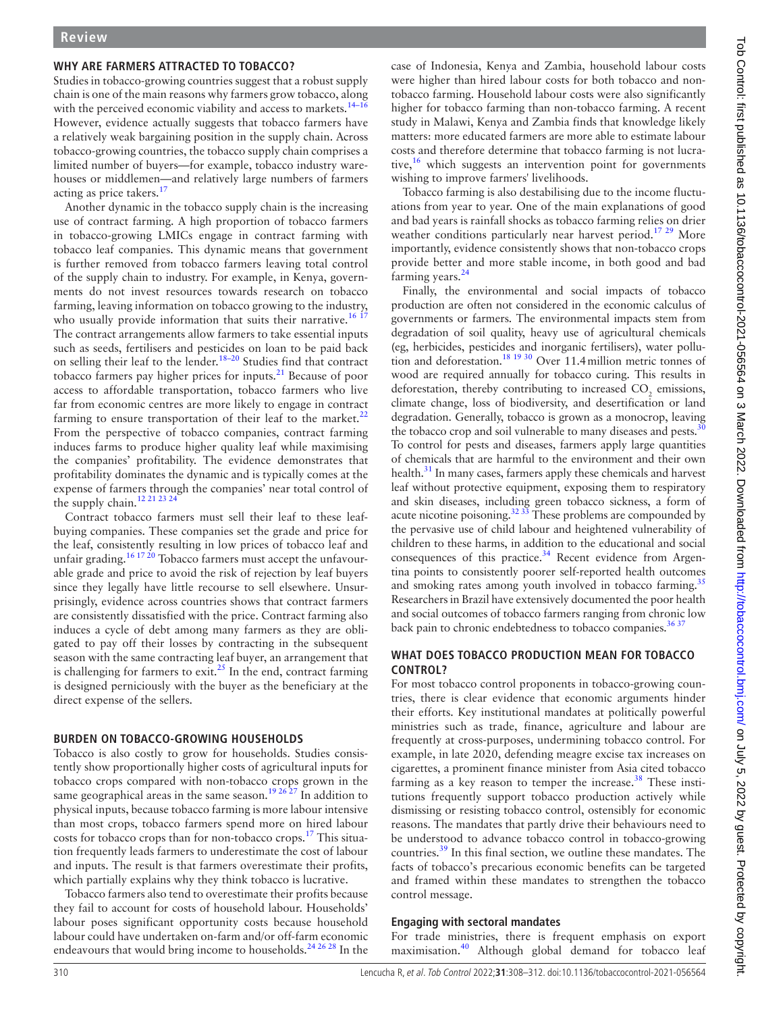#### **WHY ARE FARMERS ATTRACTED TO TOBACCO?**

Studies in tobacco-growing countries suggest that a robust supply chain is one of the main reasons why farmers grow tobacco, along with the perceived economic viability and access to markets.<sup>14–1</sup> However, evidence actually suggests that tobacco farmers have a relatively weak bargaining position in the supply chain. Across tobacco-growing countries, the tobacco supply chain comprises a limited number of buyers—for example, tobacco industry warehouses or middlemen—and relatively large numbers of farmers acting as price takers.<sup>[17](#page-4-12)</sup>

Another dynamic in the tobacco supply chain is the increasing use of contract farming. A high proportion of tobacco farmers in tobacco-growing LMICs engage in contract farming with tobacco leaf companies. This dynamic means that government is further removed from tobacco farmers leaving total control of the supply chain to industry. For example, in Kenya, governments do not invest resources towards research on tobacco farming, leaving information on tobacco growing to the industry, who usually provide information that suits their narrative.<sup>[16 17](#page-4-13)</sup> The contract arrangements allow farmers to take essential inputs such as seeds, fertilisers and pesticides on loan to be paid back on selling their leaf to the lender.<sup>18–20</sup> Studies find that contract tobacco farmers pay higher prices for inputs.<sup>[21](#page-4-15)</sup> Because of poor access to affordable transportation, tobacco farmers who live far from economic centres are more likely to engage in contract farming to ensure transportation of their leaf to the market. $^{22}$  $^{22}$  $^{22}$ From the perspective of tobacco companies, contract farming induces farms to produce higher quality leaf while maximising the companies' profitability. The evidence demonstrates that profitability dominates the dynamic and is typically comes at the expense of farmers through the companies' near total control of the supply chain.<sup>[12 21 23 24](#page-4-9)</sup>

Contract tobacco farmers must sell their leaf to these leafbuying companies. These companies set the grade and price for the leaf, consistently resulting in low prices of tobacco leaf and unfair grading.<sup>16 17 20</sup> Tobacco farmers must accept the unfavourable grade and price to avoid the risk of rejection by leaf buyers since they legally have little recourse to sell elsewhere. Unsurprisingly, evidence across countries shows that contract farmers are consistently dissatisfied with the price. Contract farming also induces a cycle of debt among many farmers as they are obligated to pay off their losses by contracting in the subsequent season with the same contracting leaf buyer, an arrangement that is challenging for farmers to exit.<sup>25</sup> In the end, contract farming is designed perniciously with the buyer as the beneficiary at the direct expense of the sellers.

#### **BURDEN ON TOBACCO-GROWING HOUSEHOLDS**

Tobacco is also costly to grow for households. Studies consistently show proportionally higher costs of agricultural inputs for tobacco crops compared with non-tobacco crops grown in the same geographical areas in the same season.<sup>19 26</sup>  $27$  In addition to physical inputs, because tobacco farming is more labour intensive than most crops, tobacco farmers spend more on hired labour costs for tobacco crops than for non-tobacco crops.<sup>[17](#page-4-12)</sup> This situation frequently leads farmers to underestimate the cost of labour and inputs. The result is that farmers overestimate their profits, which partially explains why they think tobacco is lucrative.

Tobacco farmers also tend to overestimate their profits because they fail to account for costs of household labour. Households' labour poses significant opportunity costs because household labour could have undertaken on-farm and/or off-farm economic endeavours that would bring income to households.<sup>24 26</sup> <sup>28</sup> In the

case of Indonesia, Kenya and Zambia, household labour costs were higher than hired labour costs for both tobacco and nontobacco farming. Household labour costs were also significantly higher for tobacco farming than non-tobacco farming. A recent study in Malawi, Kenya and Zambia finds that knowledge likely matters: more educated farmers are more able to estimate labour costs and therefore determine that tobacco farming is not lucrative, $16$  which suggests an intervention point for governments wishing to improve farmers' livelihoods.

Tobacco farming is also destabilising due to the income fluctuations from year to year. One of the main explanations of good and bad years is rainfall shocks as tobacco farming relies on drier weather conditions particularly near harvest period.<sup>17</sup> <sup>29</sup> More importantly, evidence consistently shows that non-tobacco crops provide better and more stable income, in both good and bad farming years.<sup>24</sup>

Finally, the environmental and social impacts of tobacco production are often not considered in the economic calculus of governments or farmers. The environmental impacts stem from degradation of soil quality, heavy use of agricultural chemicals (eg, herbicides, pesticides and inorganic fertilisers), water pollu-tion and deforestation.<sup>[18 19 30](#page-4-14)</sup> Over 11.4 million metric tonnes of wood are required annually for tobacco curing. This results in deforestation, thereby contributing to increased  $CO_2$  emissions, climate change, loss of biodiversity, and desertification or land degradation. Generally, tobacco is grown as a monocrop, leaving the tobacco crop and soil vulnerable to many diseases and pests.<sup>3</sup> To control for pests and diseases, farmers apply large quantities of chemicals that are harmful to the environment and their own health.<sup>31</sup> In many cases, farmers apply these chemicals and harvest leaf without protective equipment, exposing them to respiratory and skin diseases, including green tobacco sickness, a form of acute nicotine poisoning. $3233$  These problems are compounded by the pervasive use of child labour and heightened vulnerability of children to these harms, in addition to the educational and social consequences of this practice. $34$  Recent evidence from Argentina points to consistently poorer self-reported health outcomes and smoking rates among youth involved in tobacco farming.<sup>[35](#page-4-24)</sup> Researchers in Brazil have extensively documented the poor health and social outcomes of tobacco farmers ranging from chronic low back pain to chronic endebtedness to tobacco companies.<sup>[36 37](#page-4-25)</sup>

## **WHAT DOES TOBACCO PRODUCTION MEAN FOR TOBACCO CONTROL?**

For most tobacco control proponents in tobacco-growing countries, there is clear evidence that economic arguments hinder their efforts. Key institutional mandates at politically powerful ministries such as trade, finance, agriculture and labour are frequently at cross-purposes, undermining tobacco control. For example, in late 2020, defending meagre excise tax increases on cigarettes, a prominent finance minister from Asia cited tobacco farming as a key reason to temper the increase. $38$  These institutions frequently support tobacco production actively while dismissing or resisting tobacco control, ostensibly for economic reasons. The mandates that partly drive their behaviours need to be understood to advance tobacco control in tobacco-growing countries.[39](#page-4-27) In this final section, we outline these mandates. The facts of tobacco's precarious economic benefits can be targeted and framed within these mandates to strengthen the tobacco control message.

#### **Engaging with sectoral mandates**

For trade ministries, there is frequent emphasis on export maximisation[.40](#page-4-28) Although global demand for tobacco leaf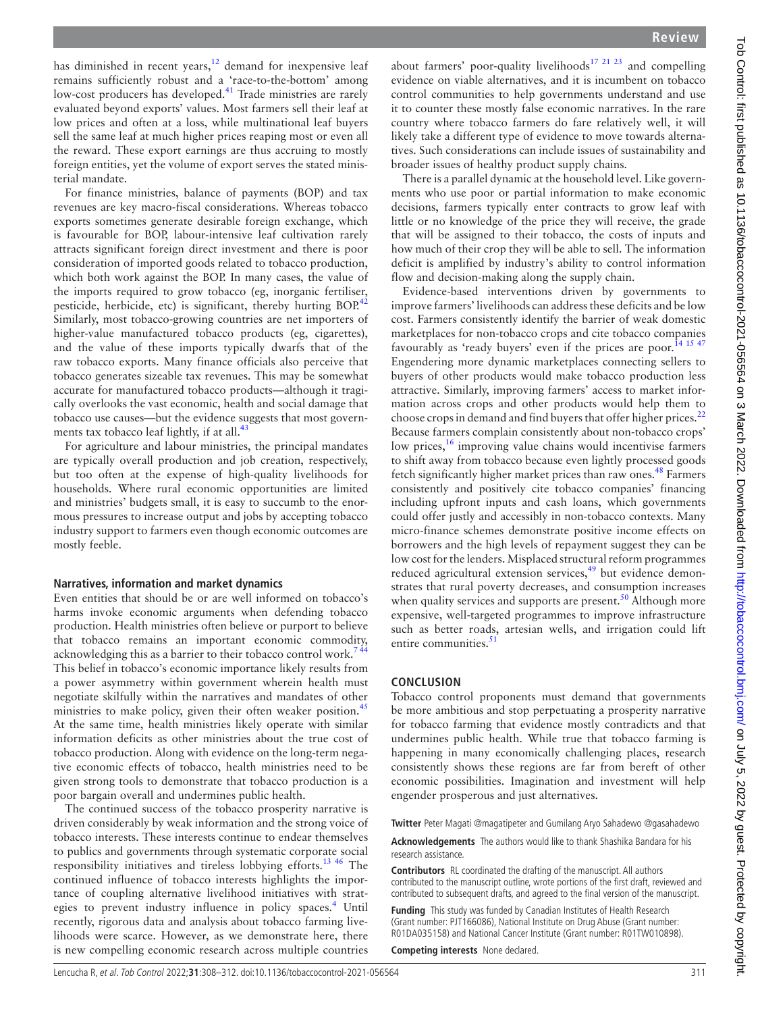**Review**

has diminished in recent years, $12$  demand for inexpensive leaf remains sufficiently robust and a 'race-to-the-bottom' among low-cost producers has developed.<sup>[41](#page-4-29)</sup> Trade ministries are rarely evaluated beyond exports' values. Most farmers sell their leaf at low prices and often at a loss, while multinational leaf buyers sell the same leaf at much higher prices reaping most or even all the reward. These export earnings are thus accruing to mostly foreign entities, yet the volume of export serves the stated ministerial mandate.

For finance ministries, balance of payments (BOP) and tax revenues are key macro-fiscal considerations. Whereas tobacco exports sometimes generate desirable foreign exchange, which is favourable for BOP, labour-intensive leaf cultivation rarely attracts significant foreign direct investment and there is poor consideration of imported goods related to tobacco production, which both work against the BOP. In many cases, the value of the imports required to grow tobacco (eg, inorganic fertiliser, pesticide, herbicide, etc) is significant, thereby hurting  $BOP<sup>42</sup>$  $BOP<sup>42</sup>$  $BOP<sup>42</sup>$ Similarly, most tobacco-growing countries are net importers of higher-value manufactured tobacco products (eg, cigarettes), and the value of these imports typically dwarfs that of the raw tobacco exports. Many finance officials also perceive that tobacco generates sizeable tax revenues. This may be somewhat accurate for manufactured tobacco products—although it tragically overlooks the vast economic, health and social damage that tobacco use causes—but the evidence suggests that most governments tax tobacco leaf lightly, if at all. $4$ 3

For agriculture and labour ministries, the principal mandates are typically overall production and job creation, respectively, but too often at the expense of high-quality livelihoods for households. Where rural economic opportunities are limited and ministries' budgets small, it is easy to succumb to the enormous pressures to increase output and jobs by accepting tobacco industry support to farmers even though economic outcomes are mostly feeble.

#### **Narratives, information and market dynamics**

Even entities that should be or are well informed on tobacco's harms invoke economic arguments when defending tobacco production. Health ministries often believe or purport to believe that tobacco remains an important economic commodity, acknowledging this as a barrier to their tobacco control work.<sup>744</sup> This belief in tobacco's economic importance likely results from a power asymmetry within government wherein health must negotiate skilfully within the narratives and mandates of other ministries to make policy, given their often weaker position.<sup>[45](#page-4-32)</sup> At the same time, health ministries likely operate with similar information deficits as other ministries about the true cost of tobacco production. Along with evidence on the long-term negative economic effects of tobacco, health ministries need to be given strong tools to demonstrate that tobacco production is a poor bargain overall and undermines public health.

The continued success of the tobacco prosperity narrative is driven considerably by weak information and the strong voice of tobacco interests. These interests continue to endear themselves to publics and governments through systematic corporate social responsibility initiatives and tireless lobbying efforts.[13 46](#page-4-33) The continued influence of tobacco interests highlights the importance of coupling alternative livelihood initiatives with strategies to prevent industry influence in policy spaces.<sup>4</sup> Until recently, rigorous data and analysis about tobacco farming livelihoods were scarce. However, as we demonstrate here, there is new compelling economic research across multiple countries

about farmers' poor-quality livelihoods<sup>17 21 23</sup> and compelling evidence on viable alternatives, and it is incumbent on tobacco control communities to help governments understand and use it to counter these mostly false economic narratives. In the rare country where tobacco farmers do fare relatively well, it will likely take a different type of evidence to move towards alternatives. Such considerations can include issues of sustainability and broader issues of healthy product supply chains.

There is a parallel dynamic at the household level. Like governments who use poor or partial information to make economic decisions, farmers typically enter contracts to grow leaf with little or no knowledge of the price they will receive, the grade that will be assigned to their tobacco, the costs of inputs and how much of their crop they will be able to sell. The information deficit is amplified by industry's ability to control information flow and decision-making along the supply chain.

Evidence-based interventions driven by governments to improve farmers' livelihoods can address these deficits and be low cost. Farmers consistently identify the barrier of weak domestic marketplaces for non-tobacco crops and cite tobacco companies favourably as 'ready buyers' even if the prices are poor.<sup>[14 15 47](#page-4-11)</sup> Engendering more dynamic marketplaces connecting sellers to buyers of other products would make tobacco production less attractive. Similarly, improving farmers' access to market information across crops and other products would help them to choose crops in demand and find buyers that offer higher prices. $^{22}$  $^{22}$  $^{22}$ Because farmers complain consistently about non-tobacco crops' low prices,<sup>16</sup> improving value chains would incentivise farmers to shift away from tobacco because even lightly processed goods fetch significantly higher market prices than raw ones.<sup>[48](#page-4-34)</sup> Farmers consistently and positively cite tobacco companies' financing including upfront inputs and cash loans, which governments could offer justly and accessibly in non-tobacco contexts. Many micro-finance schemes demonstrate positive income effects on borrowers and the high levels of repayment suggest they can be low cost for the lenders. Misplaced structural reform programmes reduced agricultural extension services,<sup>[49](#page-4-35)</sup> but evidence demonstrates that rural poverty decreases, and consumption increases when quality services and supports are present.<sup>50</sup> Although more expensive, well-targeted programmes to improve infrastructure such as better roads, artesian wells, and irrigation could lift entire communities.<sup>5</sup>

#### **CONCLUSION**

Tobacco control proponents must demand that governments be more ambitious and stop perpetuating a prosperity narrative for tobacco farming that evidence mostly contradicts and that undermines public health. While true that tobacco farming is happening in many economically challenging places, research consistently shows these regions are far from bereft of other economic possibilities. Imagination and investment will help engender prosperous and just alternatives.

**Twitter** Peter Magati [@magatipeter](https://twitter.com/magatipeter) and Gumilang Aryo Sahadewo [@gasahadewo](https://twitter.com/gasahadewo)

**Acknowledgements** The authors would like to thank Shashika Bandara for his research assistance.

**Contributors** RL coordinated the drafting of the manuscript. All authors contributed to the manuscript outline, wrote portions of the first draft, reviewed and contributed to subsequent drafts, and agreed to the final version of the manuscript.

**Funding** This study was funded by Canadian Institutes of Health Research (Grant number: PJT166086), National Institute on Drug Abuse (Grant number: R01DA035158) and National Cancer Institute (Grant number: R01TW010898).

**Competing interests** None declared.